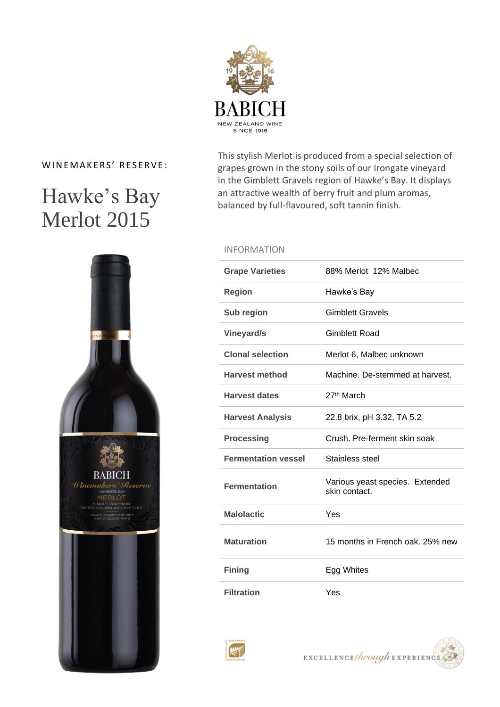

### WINEMAKERS' RESERVE:

# Hawke's Bay Merlot 2015



This stylish Merlot is produced from a special selection of grapes grown in the stony soils of our Irongate vineyard in the Gimblett Gravels region of Hawke's Bay. It displays an attractive wealth of berry fruit and plum aromas, balanced by full-flavoured, soft tannin finish.

### INFORMATION

| <b>Grape Varieties</b>     | 88% Merlot 12% Malbec                            |
|----------------------------|--------------------------------------------------|
| <b>Region</b>              | Hawke's Bay                                      |
| Sub region                 | <b>Gimblett Gravels</b>                          |
| Vineyard/s                 | Gimblett Road                                    |
| <b>Clonal selection</b>    | Merlot 6, Malbec unknown                         |
| <b>Harvest method</b>      | Machine. De-stemmed at harvest.                  |
| <b>Harvest dates</b>       | 27 <sup>th</sup> March                           |
| <b>Harvest Analysis</b>    | 22.8 brix, pH 3.32, TA 5.2                       |
|                            |                                                  |
| <b>Processing</b>          | Crush, Pre-ferment skin soak                     |
| <b>Fermentation vessel</b> | Stainless steel                                  |
| <b>Fermentation</b>        | Various yeast species. Extended<br>skin contact. |
| <b>Malolactic</b>          | Yes                                              |
| <b>Maturation</b>          | 15 months in French oak, 25% new                 |
| <b>Fining</b>              | Egg Whites                                       |